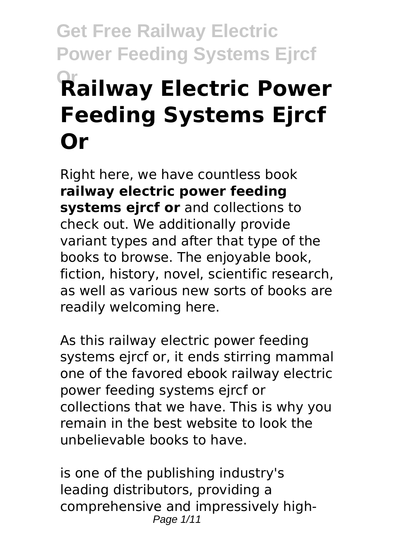# **Get Free Railway Electric Power Feeding Systems Ejrcf Railway Electric Power Feeding Systems Ejrcf Or**

Right here, we have countless book **railway electric power feeding systems ejrcf or** and collections to check out. We additionally provide variant types and after that type of the books to browse. The enjoyable book, fiction, history, novel, scientific research, as well as various new sorts of books are readily welcoming here.

As this railway electric power feeding systems ejrcf or, it ends stirring mammal one of the favored ebook railway electric power feeding systems ejrcf or collections that we have. This is why you remain in the best website to look the unbelievable books to have.

is one of the publishing industry's leading distributors, providing a comprehensive and impressively high-Page 1/11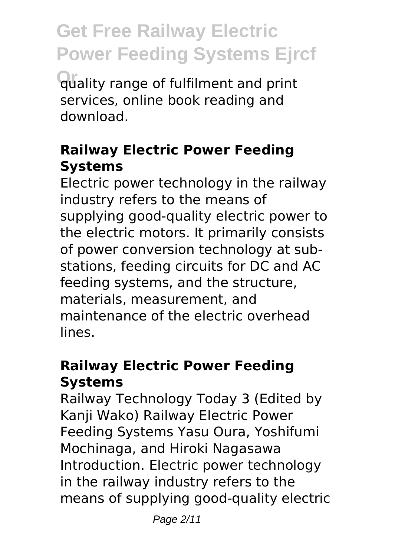**Or** quality range of fulfilment and print services, online book reading and download.

### **Railway Electric Power Feeding Systems**

Electric power technology in the railway industry refers to the means of supplying good-quality electric power to the electric motors. It primarily consists of power conversion technology at substations, feeding circuits for DC and AC feeding systems, and the structure, materials, measurement, and maintenance of the electric overhead lines.

# **Railway Electric Power Feeding Systems**

Railway Technology Today 3 (Edited by Kanji Wako) Railway Electric Power Feeding Systems Yasu Oura, Yoshifumi Mochinaga, and Hiroki Nagasawa Introduction. Electric power technology in the railway industry refers to the means of supplying good-quality electric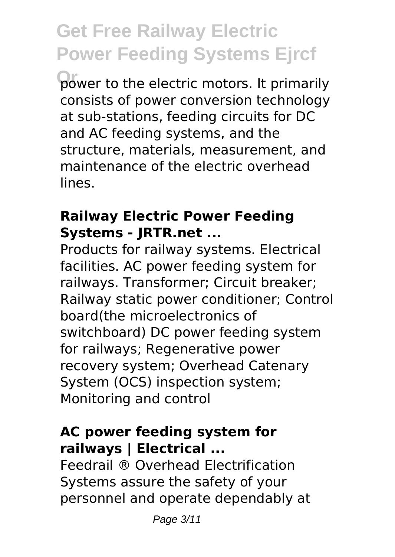power to the electric motors. It primarily consists of power conversion technology at sub-stations, feeding circuits for DC and AC feeding systems, and the structure, materials, measurement, and maintenance of the electric overhead lines.

#### **Railway Electric Power Feeding Systems - JRTR.net ...**

Products for railway systems. Electrical facilities. AC power feeding system for railways. Transformer; Circuit breaker; Railway static power conditioner; Control board(the microelectronics of switchboard) DC power feeding system for railways; Regenerative power recovery system; Overhead Catenary System (OCS) inspection system; Monitoring and control

### **AC power feeding system for railways | Electrical ...**

Feedrail ® Overhead Electrification Systems assure the safety of your personnel and operate dependably at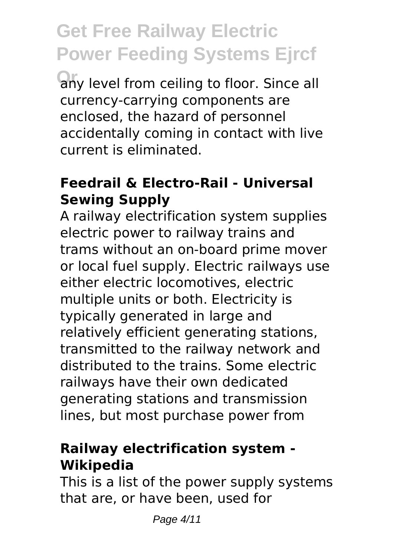any level from ceiling to floor. Since all currency-carrying components are enclosed, the hazard of personnel accidentally coming in contact with live current is eliminated.

#### **Feedrail & Electro-Rail - Universal Sewing Supply**

A railway electrification system supplies electric power to railway trains and trams without an on-board prime mover or local fuel supply. Electric railways use either electric locomotives, electric multiple units or both. Electricity is typically generated in large and relatively efficient generating stations, transmitted to the railway network and distributed to the trains. Some electric railways have their own dedicated generating stations and transmission lines, but most purchase power from

#### **Railway electrification system - Wikipedia**

This is a list of the power supply systems that are, or have been, used for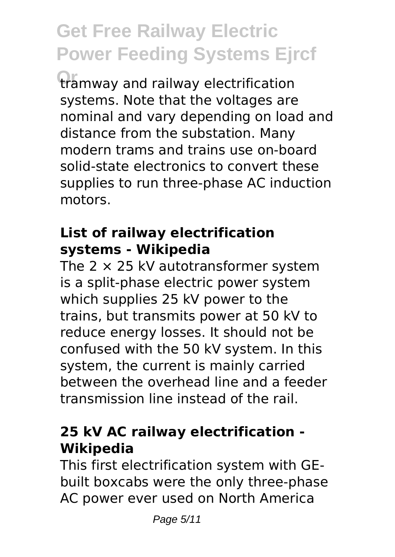**Or** tramway and railway electrification systems. Note that the voltages are nominal and vary depending on load and distance from the substation. Many modern trams and trains use on-board solid-state electronics to convert these supplies to run three-phase AC induction motors.

#### **List of railway electrification systems - Wikipedia**

The  $2 \times 25$  kV autotransformer system is a split-phase electric power system which supplies 25 kV power to the trains, but transmits power at 50 kV to reduce energy losses. It should not be confused with the 50 kV system. In this system, the current is mainly carried between the overhead line and a feeder transmission line instead of the rail.

### **25 kV AC railway electrification - Wikipedia**

This first electrification system with GEbuilt boxcabs were the only three-phase AC power ever used on North America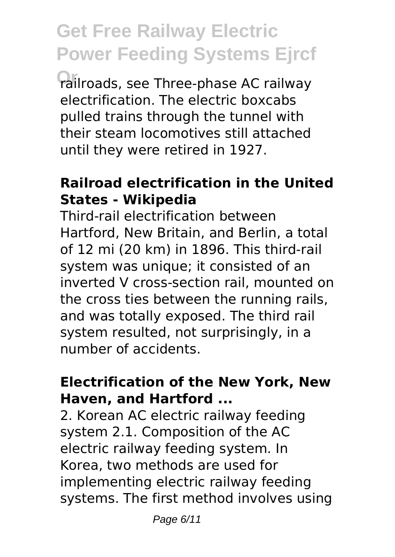**Or** railroads, see Three-phase AC railway electrification. The electric boxcabs pulled trains through the tunnel with their steam locomotives still attached until they were retired in 1927.

#### **Railroad electrification in the United States - Wikipedia**

Third-rail electrification between Hartford, New Britain, and Berlin, a total of 12 mi (20 km) in 1896. This third-rail system was unique; it consisted of an inverted V cross-section rail, mounted on the cross ties between the running rails, and was totally exposed. The third rail system resulted, not surprisingly, in a number of accidents.

#### **Electrification of the New York, New Haven, and Hartford ...**

2. Korean AC electric railway feeding system 2.1. Composition of the AC electric railway feeding system. In Korea, two methods are used for implementing electric railway feeding systems. The first method involves using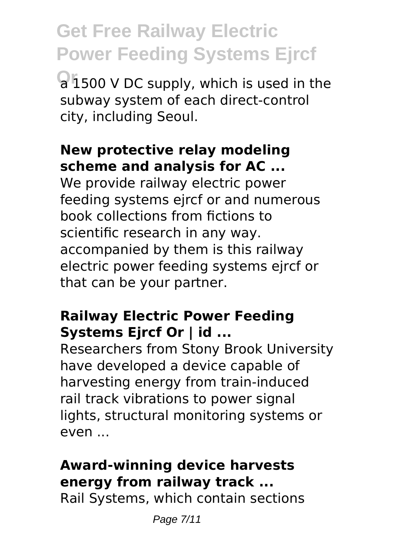**Or** a 1500 V DC supply, which is used in the subway system of each direct-control city, including Seoul.

# **New protective relay modeling scheme and analysis for AC ...**

We provide railway electric power feeding systems ejrcf or and numerous book collections from fictions to scientific research in any way. accompanied by them is this railway electric power feeding systems ejrcf or that can be your partner.

### **Railway Electric Power Feeding Systems Ejrcf Or | id ...**

Researchers from Stony Brook University have developed a device capable of harvesting energy from train-induced rail track vibrations to power signal lights, structural monitoring systems or even ...

# **Award-winning device harvests energy from railway track ...**

Rail Systems, which contain sections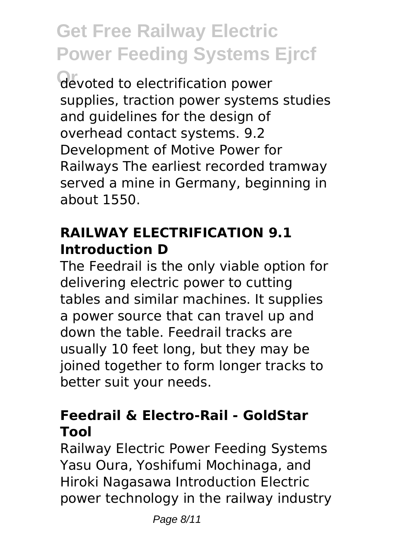**Or** devoted to electrification power supplies, traction power systems studies and guidelines for the design of overhead contact systems. 9.2 Development of Motive Power for Railways The earliest recorded tramway served a mine in Germany, beginning in about 1550.

### **RAILWAY ELECTRIFICATION 9.1 Introduction D**

The Feedrail is the only viable option for delivering electric power to cutting tables and similar machines. It supplies a power source that can travel up and down the table. Feedrail tracks are usually 10 feet long, but they may be joined together to form longer tracks to better suit your needs.

### **Feedrail & Electro-Rail - GoldStar Tool**

Railway Electric Power Feeding Systems Yasu Oura, Yoshifumi Mochinaga, and Hiroki Nagasawa Introduction Electric power technology in the railway industry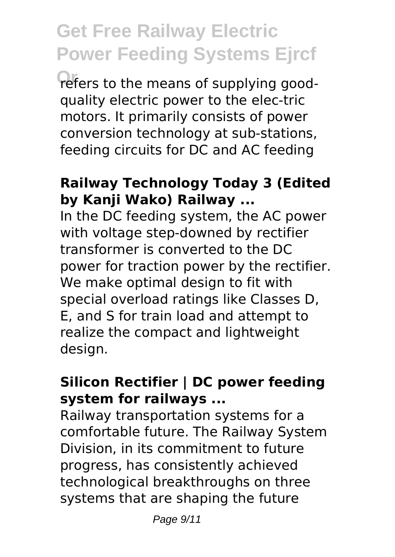refers to the means of supplying goodquality electric power to the elec-tric motors. It primarily consists of power conversion technology at sub-stations, feeding circuits for DC and AC feeding

#### **Railway Technology Today 3 (Edited by Kanji Wako) Railway ...**

In the DC feeding system, the AC power with voltage step-downed by rectifier transformer is converted to the DC power for traction power by the rectifier. We make optimal design to fit with special overload ratings like Classes D, E, and S for train load and attempt to realize the compact and lightweight design.

#### **Silicon Rectifier | DC power feeding system for railways ...**

Railway transportation systems for a comfortable future. The Railway System Division, in its commitment to future progress, has consistently achieved technological breakthroughs on three systems that are shaping the future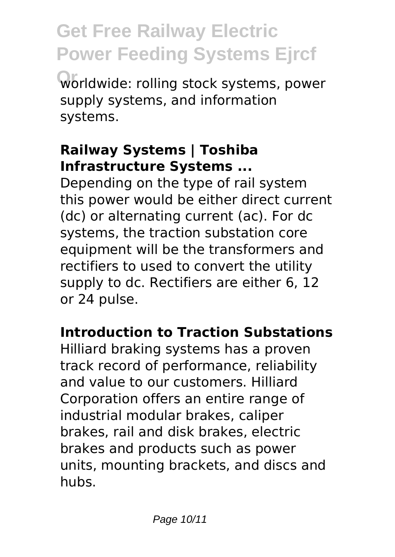worldwide: rolling stock systems, power supply systems, and information systems.

### **Railway Systems | Toshiba Infrastructure Systems ...**

Depending on the type of rail system this power would be either direct current (dc) or alternating current (ac). For dc systems, the traction substation core equipment will be the transformers and rectifiers to used to convert the utility supply to dc. Rectifiers are either 6, 12 or 24 pulse.

### **Introduction to Traction Substations**

Hilliard braking systems has a proven track record of performance, reliability and value to our customers. Hilliard Corporation offers an entire range of industrial modular brakes, caliper brakes, rail and disk brakes, electric brakes and products such as power units, mounting brackets, and discs and hubs.